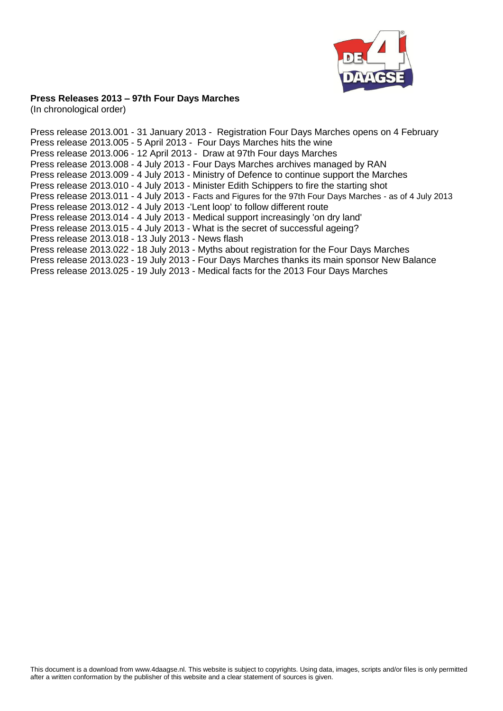

# **Press Releases 2013 – 97th Four Days Marches**

(In chronological order)

Press release 2013.001 - 31 January 2013 - Registration [Four Days Marches opens on 4](http://www.4daagse.nl/en/media-pers/press-releases/47-english/media/254-pressrelease2013-001.html) February Press release 2013.005 - 5 April 2013 - [Four Days Marches hits the wine](http://www.4daagse.nl/en/media-pers/press-releases/47-english/media/255-pressrelease2013-005.html) Press release 2013.006 - 12 April 2013 - [Draw at 97th Four days Marches](http://www.4daagse.nl/en/media-pers/press-releases/47-english/media/256-pressrelease2013-006.html) Press release 2013.008 - 4 July 2013 - [Four Days Marches archives managed by RAN](http://www.4daagse.nl/en/media-pers/press-releases/47-english/media/259-pressrelease2013-008.html) Press release 2013.009 - 4 July 2013 - [Ministry of Defence to continue support the Marches](http://www.4daagse.nl/en/media-pers/press-releases/47-english/media/260-pressrelease2013-009.html) Press release 2013.010 - 4 July 2013 - [Minister Edith Schippers to fire the starting shot](http://www.4daagse.nl/en/media-pers/press-releases/47-english/media/288-pressrelease-2013-010.html) Press release 2013.011 - 4 July 2013 - [Facts and Figures for the 97th Four Days Marches -](http://www.4daagse.nl/images/stories/files/2013/Pb2013.011FeitenCijfers_per4juli2013_uk.pdf) as of 4 July 2013 Press release 2013.012 - 4 July 2013 [-'Lent loop' to follow different route](http://www.4daagse.nl/en/media-pers/press-releases/47-english/media/262-pressrelease2013-012.html) Press release 2013.014 - 4 July 2013 - [Medical support increasingly 'on dry land'](http://www.4daagse.nl/en/media-pers/press-releases/47-english/media/264-pressrelease2013-014.html) Press release 2013.015 - 4 July 2013 - [What is the secret of successful ageing?](http://www.4daagse.nl/en/media-pers/press-releases/47-english/media/265-pressrelease2013-015.html) Press release 2013.018 - 13 July 2013 - [News flash](http://www.4daagse.nl/en/media-pers/press-releases/47-english/media/268-press-release-2013-018.html) Press release 2013.022 - 18 July 2013 - [Myths about registration for the Four Days Marches](http://www.4daagse.nl/en/media-pers/press-releases/47-english/media/272-pressrelease2013-022.html) Press release 2013.023 - 19 July 2013 - [Four Days Marches thanks its main sponsor New Balance](http://www.4daagse.nl/en/media-pers/press-releases/47-english/media/273-pressrelease2013-023.html) Press release 2013.025 - 19 July 2013 - [Medical facts for the 2013 Four Days Marches](http://www.4daagse.nl/images/stories/files/2013/Pb2013.025Medische_feiten_Vierdaagse_uk.pdf)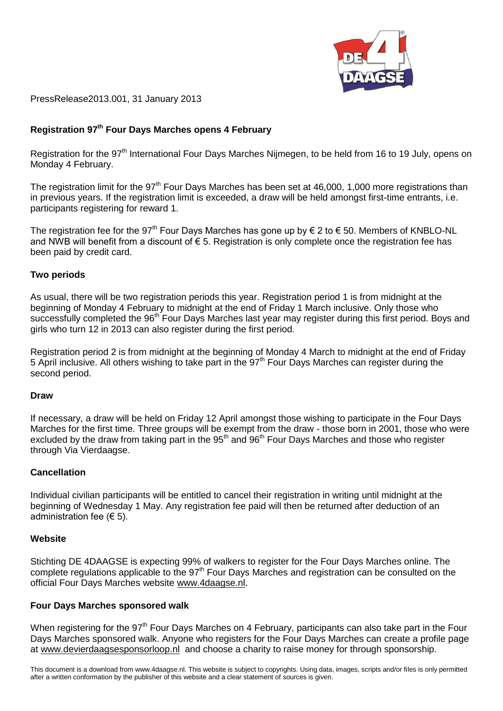

PressRelease2013.001, 31 January 2013

# **Registration 97th Four Days Marches opens 4 February**

[Registration f](http://www.4daagse.nl/en/register/registration.html)or the 97<sup>th</sup> International Four Days Marches Nijmegen, to be held from 16 to 19 July, opens on Monday 4 February.

The registration limit for the 97<sup>th</sup> Four Days Marches has been set at 46,000, 1,000 more registrations than in previous years. If the registration limit is exceeded, a draw will be held amongst first-time entrants, i.e. participants registering for reward 1.

The [registration fee f](http://www.4daagse.nl/en/register/payment-confirmation.html)or the 97<sup>th</sup> Four Days Marches has gone up by  $\epsilon$  2 to  $\epsilon$  50. Members of KNBLO-NL and NWB will benefit from a discount of € 5. Registration is only complete once the registration fee has been paid by credit card.

## **Two periods**

As usual, there will be two registration periods this year. Registration period 1 is from midnight at the beginning of Monday 4 February to midnight at the end of Friday 1 March inclusive. Only those who successfully completed the 96<sup>th</sup> Four Days Marches last year may register during this first period. Boys and girls who turn 12 in 2013 can also register during the first period.

Registration period 2 is from midnight at the beginning of Monday 4 March to midnight at the end of Friday 5 April inclusive. All others wishing to take part in the 97<sup>th</sup> Four Days Marches can register during the second period.

#### **Draw**

If necessary, a [draw w](http://www.4daagse.nl/en/register/draw-by-lot.html)ill be held on Friday 12 April amongst those wishing to participate in the Four Days Marches for the first time. Three groups will be exempt from the draw - those born in 2001, those who were excluded by the draw from taking part in the 95<sup>th</sup> and 96<sup>th</sup> Four Days Marches and those who register through Via Vierdaagse.

# **Cancellation**

Individual civilian participants will be entitled to cancel their registration in writing until midnight at the beginning of Wednesday 1 May. Any registration fee paid will then be returned after deduction of an administration fee  $(65)$ .

#### **Website**

Stichting DE 4DAAGSE is expecting 99% of walkers to register for the Four Days Marches online. The complete regulations applicable to the 97<sup>th</sup> Four Days Marches and registration can be consulted on the official Four Days Marches website [www.4daagse.nl.](http://www.4daagse.nl/)

# **Four Days Marches sponsored walk**

When registering for the 97<sup>th</sup> Four Days Marches on 4 February, participants can also take part in the Four Days Marches sponsored walk. Anyone who registers for the Four Days Marches can create a profile page at [www.devierdaagsesponsorloop.nl](http://www.devierdaagsesponsorloop.nl/) and choose a charity to raise money for through sponsorship.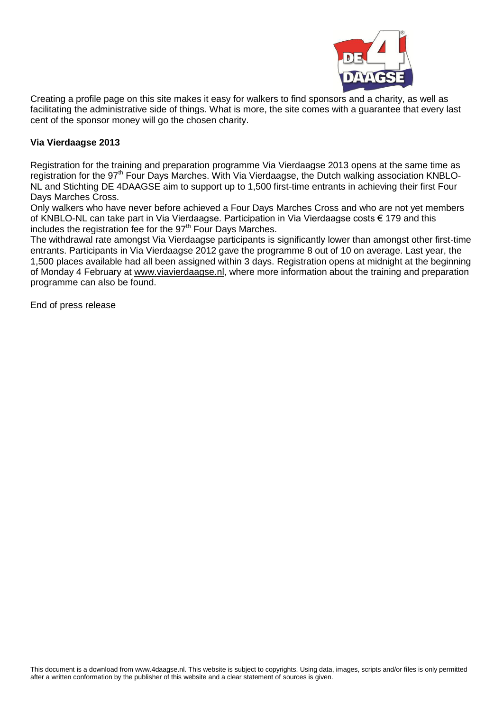

Creating a profile page on this site makes it easy for walkers to find sponsors and a charity, as well as facilitating the administrative side of things. What is more, the site comes with a guarantee that every last cent of the sponsor money will go the chosen charity.

# **Via Vierdaagse 2013**

Registration for the training and preparation programme [Via Vierdaagse 2013 o](http://www.viavierdaagse.nl/)pens at the same time as registration for the 97<sup>th</sup> Four Days Marches. With Via Vierdaagse, the Dutch walking association KNBLO-NL and Stichting DE 4DAAGSE aim to support up to 1,500 first-time entrants in achieving their first Four Days Marches Cross.

Only walkers who have never before achieved a Four Days Marches Cross and who are not yet members of KNBLO-NL can take part in Via Vierdaagse. Participation in Via Vierdaagse costs € 179 and this includes the registration fee for the  $97<sup>th</sup>$  Four Days Marches.

The withdrawal rate amongst Via Vierdaagse participants is significantly lower than amongst other first-time entrants. Participants in Via Vierdaagse 2012 gave the programme 8 out of 10 on average. Last year, the 1,500 places available had all been assigned within 3 days. Registration opens at midnight at the beginning of Monday 4 February at [www.viavierdaagse.nl,](http://www.viavierdaagse.nl/) where more information about the training and preparation programme can also be found.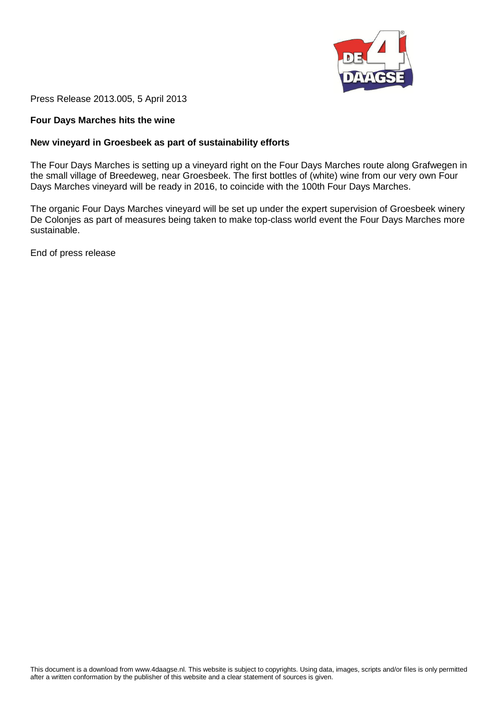

Press Release 2013.005, 5 April 2013

# **Four Days Marches hits the wine**

#### **New vineyard in Groesbeek as part of sustainability efforts**

The Four Days Marches is setting up a vineyard right on the Four Days Marches route along Grafwegen in the small village of Breedeweg, near Groesbeek. The first bottles of (white) wine from our very own Four Days Marches vineyard will be ready in 2016, to coincide with the 100th Four Days Marches.

The organic Four Days Marches vineyard will be set up under the expert supervision of Groesbeek winery De Colonjes as part of measures being taken to make top-class world event the Four Days Marches more sustainable.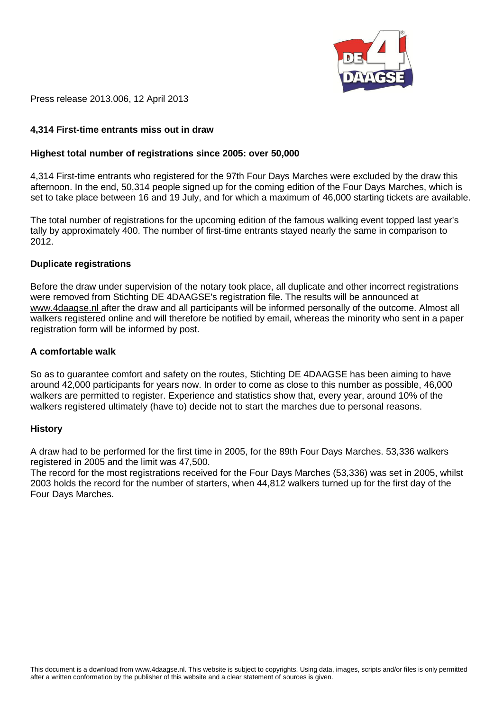

Press release 2013.006, 12 April 2013

# **4,314 First-time entrants miss out in draw**

## **Highest total number of registrations since 2005: over 50,000**

4,314 First-time entrants who registered for the 97th Four Days Marches were excluded by the draw this afternoon. In the end, 50,314 people signed up for the coming edition of the Four Days Marches, which is set to take place between 16 and 19 July, and for which a maximum of 46,000 starting tickets are available.

The total number of registrations for the upcoming edition of the famous walking event topped last year's tally by approximately 400. The number of first-time entrants stayed nearly the same in comparison to 2012.

#### **Duplicate registrations**

Before the draw under supervision of the notary took place, all duplicate and other incorrect registrations were removed from Stichting DE 4DAAGSE's registration file. The results will be announced at [www.4daagse.nl a](http://www.4daagse.nl/en/my-four-days.html)fter the draw and all participants will be informed personally of the outcome. Almost all walkers registered online and will therefore be notified by email, whereas the minority who sent in a paper registration form will be informed by post.

## **A comfortable walk**

So as to guarantee comfort and safety on the routes, Stichting DE 4DAAGSE has been aiming to have around 42,000 participants for years now. In order to come as close to this number as possible, 46,000 walkers are permitted to register. Experience and statistics show that, every year, around 10% of the walkers registered ultimately (have to) decide not to start the marches due to personal reasons.

#### **History**

A draw had to be performed for the first time in 2005, for the 89th Four Days Marches. 53,336 walkers registered in 2005 and the limit was 47,500.

The record for the most registrations received for the Four Days Marches (53,336) was set in 2005, whilst 2003 holds the record for the number of starters, when 44,812 walkers turned up for the first day of the Four Days Marches.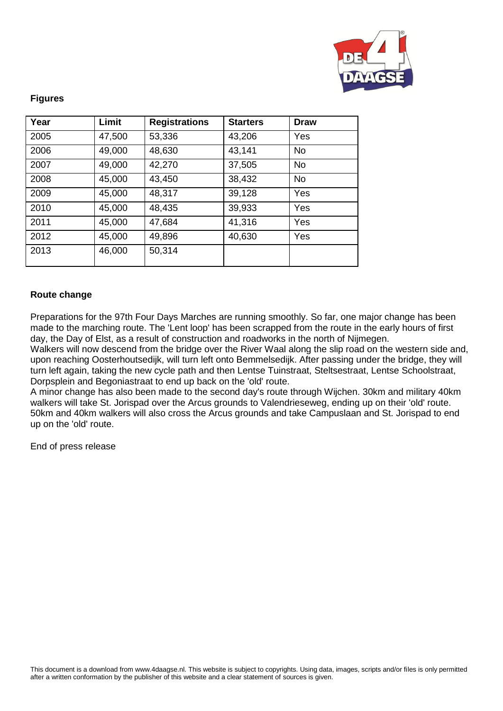

## **Figures**

| Year | Limit  | <b>Registrations</b> | <b>Starters</b> | <b>Draw</b> |
|------|--------|----------------------|-----------------|-------------|
| 2005 | 47,500 | 53,336               | 43,206          | Yes         |
| 2006 | 49,000 | 48,630               | 43,141          | <b>No</b>   |
| 2007 | 49,000 | 42,270               | 37,505          | <b>No</b>   |
| 2008 | 45,000 | 43,450               | 38,432          | <b>No</b>   |
| 2009 | 45,000 | 48,317               | 39,128          | Yes         |
| 2010 | 45,000 | 48,435               | 39,933          | Yes         |
| 2011 | 45,000 | 47,684               | 41,316          | Yes         |
| 2012 | 45,000 | 49,896               | 40,630          | Yes         |
| 2013 | 46,000 | 50,314               |                 |             |

# **Route change**

Preparations for the 97th Four Days Marches are running smoothly. So far, one major change has been made to the marching route. The 'Lent loop' has been scrapped from the route in the early hours of first day, the Day of Elst, as a result of construction and roadworks in the north of Nijmegen.

Walkers will now descend from the bridge over the River Waal along the slip road on the western side and, upon reaching Oosterhoutsedijk, will turn left onto Bemmelsedijk. After passing under the bridge, they will turn left again, taking the new cycle path and then Lentse Tuinstraat, Steltsestraat, Lentse Schoolstraat, Dorpsplein and Begoniastraat to end up back on the 'old' route.

A minor change has also been made to the second day's route through Wijchen. 30km and military 40km walkers will take St. Jorispad over the Arcus grounds to Valendrieseweg, ending up on their 'old' route. 50km and 40km walkers will also cross the Arcus grounds and take Campuslaan and St. Jorispad to end up on the 'old' route.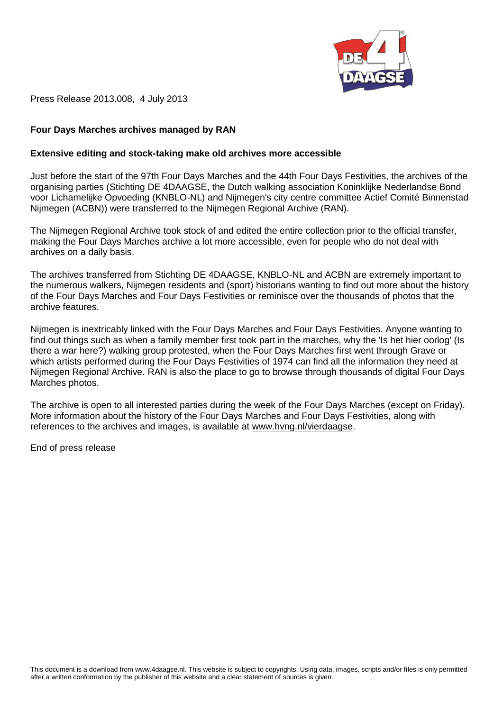

Press Release 2013.008, 4 July 2013

# **Four Days Marches archives managed by RAN**

#### **Extensive editing and stock-taking make old archives more accessible**

Just before the start of the 97th Four Days Marches and the 44th Four Days Festivities, the archives of the organising parties (Stichting DE 4DAAGSE, the Dutch walking association Koninklijke Nederlandse Bond voor Lichamelijke Opvoeding (KNBLO-NL) and Nijmegen's city centre committee Actief Comité Binnenstad Nijmegen (ACBN)) were transferred to the Nijmegen Regional Archive (RAN).

The Nijmegen Regional Archive took stock of and edited the entire collection prior to the official transfer, making the Four Days Marches archive a lot more accessible, even for people who do not deal with archives on a daily basis.

The archives transferred from Stichting DE 4DAAGSE, KNBLO-NL and ACBN are extremely important to the numerous walkers, Nijmegen residents and (sport) historians wanting to find out more about the history of the Four Days Marches and Four Days Festivities or reminisce over the thousands of photos that the archive features.

Nijmegen is inextricably linked with the Four Days Marches and Four Days Festivities. Anyone wanting to find out things such as when a family member first took part in the marches, why the 'Is het hier oorlog' (Is there a war here?) walking group protested, when the Four Days Marches first went through Grave or which artists performed during the Four Days Festivities of 1974 can find all the information they need at Nijmegen Regional Archive. RAN is also the place to go to browse through thousands of digital Four Days Marches photos.

The archive is open to all interested parties during the week of the Four Days Marches (except on Friday). More information about the history of the Four Days Marches and Four Days Festivities, along with references to the archives and images, is available at [www.hvng.nl/vierdaagse.](http://www.hvng.nl/vierdaagse)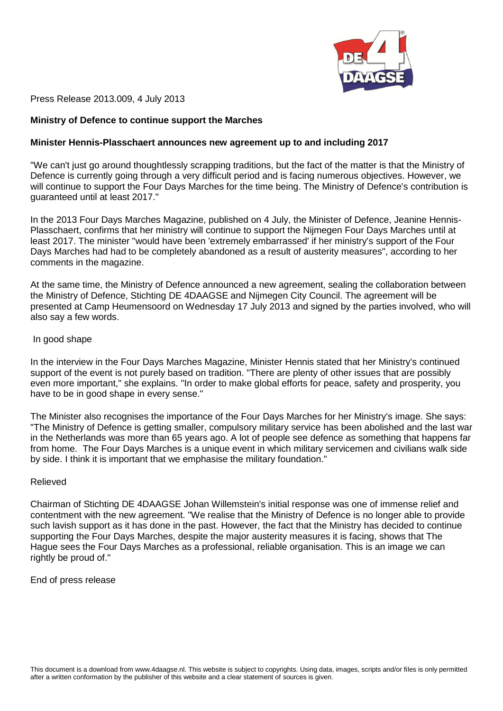

Press Release 2013.009, 4 July 2013

## **Ministry of Defence to continue support the Marches**

#### **Minister Hennis-Plasschaert announces new agreement up to and including 2017**

"We can't just go around thoughtlessly scrapping traditions, but the fact of the matter is that the Ministry of Defence is currently going through a very difficult period and is facing numerous objectives. However, we will continue to support the Four Days Marches for the time being. The Ministry of Defence's contribution is guaranteed until at least 2017."

In the 2013 Four Days Marches Magazine, published on 4 July, the Minister of Defence, Jeanine Hennis-Plasschaert, confirms that her ministry will continue to support the Nijmegen Four Days Marches until at least 2017. The minister "would have been 'extremely embarrassed' if her ministry's support of the Four Days Marches had had to be completely abandoned as a result of austerity measures", according to her comments in the magazine.

At the same time, the Ministry of Defence announced a new agreement, sealing the collaboration between the Ministry of Defence, Stichting DE 4DAAGSE and Nijmegen City Council. The agreement will be presented at Camp Heumensoord on Wednesday 17 July 2013 and signed by the parties involved, who will also say a few words.

#### In good shape

In the interview in the Four Days Marches Magazine, Minister Hennis stated that her Ministry's continued support of the event is not purely based on tradition. "There are plenty of other issues that are possibly even more important," she explains. "In order to make global efforts for peace, safety and prosperity, you have to be in good shape in every sense."

The Minister also recognises the importance of the Four Days Marches for her Ministry's image. She says: "The Ministry of Defence is getting smaller, compulsory military service has been abolished and the last war in the Netherlands was more than 65 years ago. A lot of people see defence as something that happens far from home. The Four Days Marches is a unique event in which military servicemen and civilians walk side by side. I think it is important that we emphasise the military foundation."

#### Relieved

Chairman of Stichting DE 4DAAGSE Johan Willemstein's initial response was one of immense relief and contentment with the new agreement. "We realise that the Ministry of Defence is no longer able to provide such lavish support as it has done in the past. However, the fact that the Ministry has decided to continue supporting the Four Days Marches, despite the major austerity measures it is facing, shows that The Hague sees the Four Days Marches as a professional, reliable organisation. This is an image we can rightly be proud of."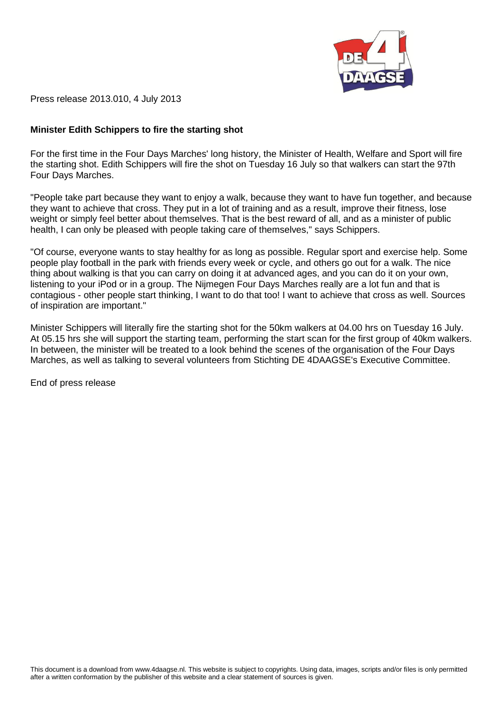

Press release 2013.010, 4 July 2013

# **Minister Edith Schippers to fire the starting shot**

For the first time in the Four Days Marches' long history, the Minister of Health, Welfare and Sport will fire the starting shot. Edith Schippers will fire the shot on Tuesday 16 July so that walkers can start the 97th Four Days Marches.

"People take part because they want to enjoy a walk, because they want to have fun together, and because they want to achieve that cross. They put in a lot of training and as a result, improve their fitness, lose weight or simply feel better about themselves. That is the best reward of all, and as a minister of public health, I can only be pleased with people taking care of themselves," says Schippers.

"Of course, everyone wants to stay healthy for as long as possible. Regular sport and exercise help. Some people play football in the park with friends every week or cycle, and others go out for a walk. The nice thing about walking is that you can carry on doing it at advanced ages, and you can do it on your own, listening to your iPod or in a group. The Nijmegen Four Days Marches really are a lot fun and that is contagious - other people start thinking, I want to do that too! I want to achieve that cross as well. Sources of inspiration are important."

Minister Schippers will literally fire the starting shot for the 50km walkers at 04.00 hrs on Tuesday 16 July. At 05.15 hrs she will support the starting team, performing the start scan for the first group of 40km walkers. In between, the minister will be treated to a look behind the scenes of the organisation of the Four Days Marches, as well as talking to several volunteers from Stichting DE 4DAAGSE's Executive Committee.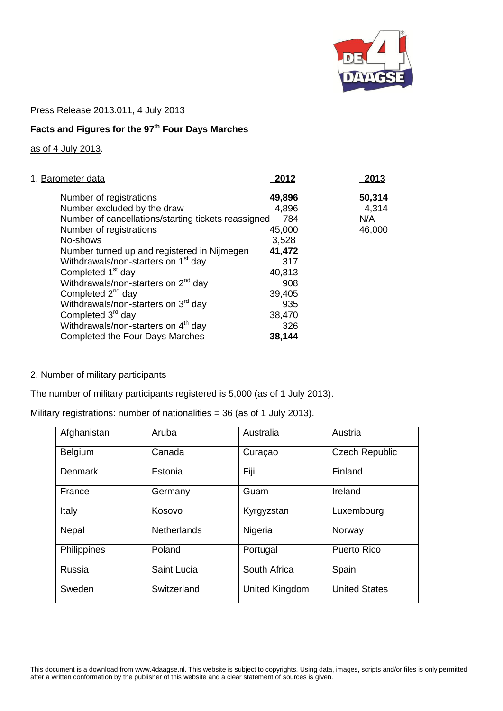

Press Release 2013.011, 4 July 2013

# **Facts and Figures for the 97th Four Days Marches**

# as of 4 July 2013.

| 1. Barometer data                                   | 2012   | 2013   |
|-----------------------------------------------------|--------|--------|
| Number of registrations                             | 49,896 | 50,314 |
| Number excluded by the draw                         | 4,896  | 4,314  |
| Number of cancellations/starting tickets reassigned | 784    | N/A    |
| Number of registrations                             | 45,000 | 46,000 |
| No-shows                                            | 3,528  |        |
| Number turned up and registered in Nijmegen         | 41,472 |        |
| Withdrawals/non-starters on 1 <sup>st</sup> day     | 317    |        |
| Completed 1 <sup>st</sup> day                       | 40,313 |        |
| Withdrawals/non-starters on 2 <sup>nd</sup> day     | 908    |        |
| Completed $2^{nd}$ day                              | 39,405 |        |
| Withdrawals/non-starters on 3 <sup>rd</sup> day     | 935    |        |
| Completed 3 <sup>rd</sup> day                       | 38,470 |        |
| Withdrawals/non-starters on 4 <sup>th</sup> day     | 326    |        |
| Completed the Four Days Marches                     | 38,144 |        |

# 2. Number of military participants

The number of military participants registered is 5,000 (as of 1 July 2013).

| Military registrations: number of nationalities = 36 (as of 1 July 2013). |  |  |  |
|---------------------------------------------------------------------------|--|--|--|
|                                                                           |  |  |  |

| Afghanistan    | Aruba              | Australia      | Austria               |
|----------------|--------------------|----------------|-----------------------|
| Belgium        | Canada             | Curaçao        | <b>Czech Republic</b> |
| <b>Denmark</b> | Estonia            | Fiji           | Finland               |
| France         | Germany            | Guam           | Ireland               |
| Italy          | Kosovo             | Kyrgyzstan     | Luxembourg            |
| Nepal          | <b>Netherlands</b> | Nigeria        | Norway                |
| Philippines    | Poland             | Portugal       | <b>Puerto Rico</b>    |
| Russia         | Saint Lucia        | South Africa   | Spain                 |
| Sweden         | Switzerland        | United Kingdom | <b>United States</b>  |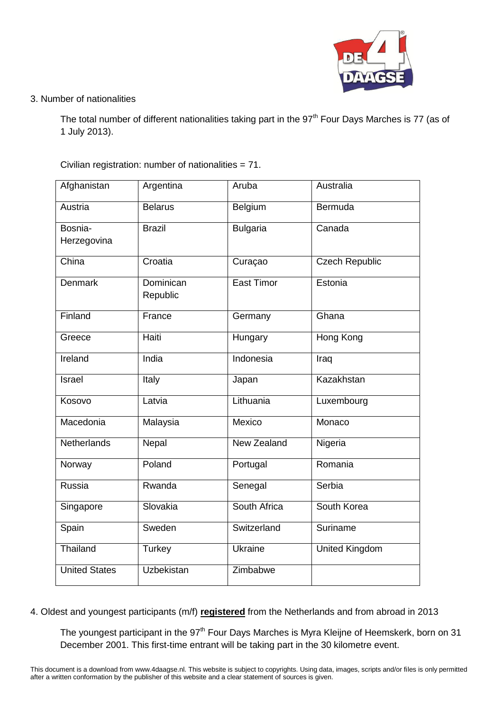

# 3. Number of nationalities

The total number of different nationalities taking part in the 97<sup>th</sup> Four Days Marches is 77 (as of 1 July 2013).

Civilian registration: number of nationalities = 71.

| Afghanistan            | Argentina             | Aruba           | Australia             |
|------------------------|-----------------------|-----------------|-----------------------|
| Austria                | <b>Belarus</b>        | Belgium         | Bermuda               |
| Bosnia-<br>Herzegovina | <b>Brazil</b>         | <b>Bulgaria</b> | Canada                |
| China                  | Croatia               | Curaçao         | <b>Czech Republic</b> |
| <b>Denmark</b>         | Dominican<br>Republic | East Timor      | Estonia               |
| Finland                | France                | Germany         | Ghana                 |
| Greece                 | Haiti                 | Hungary         | Hong Kong             |
| Ireland                | India                 | Indonesia       | Iraq                  |
| Israel                 | Italy                 | Japan           | Kazakhstan            |
| Kosovo                 | Latvia                | Lithuania       | Luxembourg            |
| Macedonia              | Malaysia              | Mexico          | Monaco                |
| Netherlands            | Nepal                 | New Zealand     | Nigeria               |
| Norway                 | Poland                | Portugal        | Romania               |
| Russia                 | Rwanda                | Senegal         | Serbia                |
| Singapore              | Slovakia              | South Africa    | South Korea           |
| Spain                  | Sweden                | Switzerland     | Suriname              |
| Thailand               | Turkey                | Ukraine         | <b>United Kingdom</b> |
| <b>United States</b>   | <b>Uzbekistan</b>     | Zimbabwe        |                       |

4. Oldest and youngest participants (m/f) **registered** from the Netherlands and from abroad in 2013

The youngest participant in the 97<sup>th</sup> Four Days Marches is Myra Kleijne of Heemskerk, born on 31 December 2001. This first-time entrant will be taking part in the 30 kilometre event.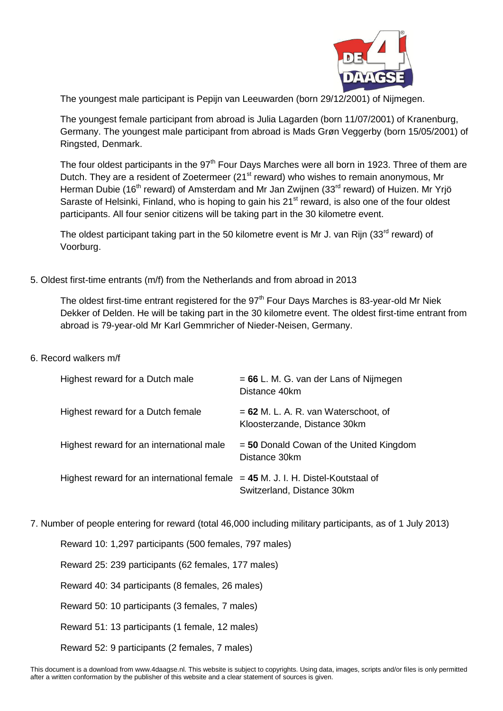

The youngest male participant is Pepijn van Leeuwarden (born 29/12/2001) of Nijmegen.

The youngest female participant from abroad is Julia Lagarden (born 11/07/2001) of Kranenburg, Germany. The youngest male participant from abroad is Mads Grøn Veggerby (born 15/05/2001) of Ringsted, Denmark.

The four oldest participants in the  $97<sup>th</sup>$  Four Days Marches were all born in 1923. Three of them are Dutch. They are a resident of Zoetermeer (21<sup>st</sup> reward) who wishes to remain anonymous, Mr Herman Dubie (16<sup>th</sup> reward) of Amsterdam and Mr Jan Zwijnen (33<sup>rd</sup> reward) of Huizen. Mr Yrjö Saraste of Helsinki, Finland, who is hoping to gain his 21<sup>st</sup> reward, is also one of the four oldest participants. All four senior citizens will be taking part in the 30 kilometre event.

The oldest participant taking part in the 50 kilometre event is Mr J. van Rijn (33 $^{rd}$  reward) of Voorburg.

# 5. Oldest first-time entrants (m/f) from the Netherlands and from abroad in 2013

The oldest first-time entrant registered for the  $97<sup>th</sup>$  Four Days Marches is 83-year-old Mr Niek Dekker of Delden. He will be taking part in the 30 kilometre event. The oldest first-time entrant from abroad is 79-year-old Mr Karl Gemmricher of Nieder-Neisen, Germany.

6. Record walkers m/f

| Highest reward for a Dutch male                                                   | $= 66$ L. M. G. van der Lans of Nijmegen<br>Distance 40km              |
|-----------------------------------------------------------------------------------|------------------------------------------------------------------------|
| Highest reward for a Dutch female                                                 | $= 62$ M. L. A. R. van Waterschoot, of<br>Kloosterzande, Distance 30km |
| Highest reward for an international male                                          | $=$ 50 Donald Cowan of the United Kingdom<br>Distance 30km             |
| Highest reward for an international female $= 45$ M. J. I. H. Distel-Koutstaal of | Switzerland, Distance 30km                                             |

7. Number of people entering for reward (total 46,000 including military participants, as of 1 July 2013)

Reward 10: 1,297 participants (500 females, 797 males)

Reward 25: 239 participants (62 females, 177 males)

Reward 40: 34 participants (8 females, 26 males)

Reward 50: 10 participants (3 females, 7 males)

Reward 51: 13 participants (1 female, 12 males)

Reward 52: 9 participants (2 females, 7 males)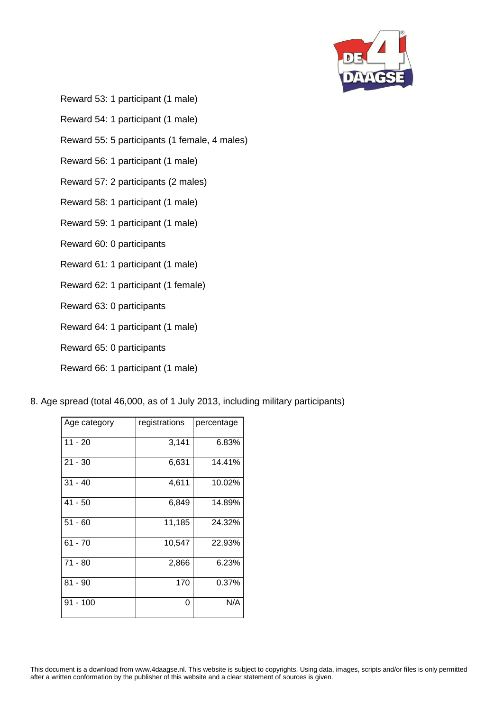

Reward 53: 1 participant (1 male)

Reward 54: 1 participant (1 male)

Reward 55: 5 participants (1 female, 4 males)

Reward 56: 1 participant (1 male)

Reward 57: 2 participants (2 males)

Reward 58: 1 participant (1 male)

Reward 59: 1 participant (1 male)

Reward 60: 0 participants

Reward 61: 1 participant (1 male)

Reward 62: 1 participant (1 female)

Reward 63: 0 participants

Reward 64: 1 participant (1 male)

Reward 65: 0 participants

Reward 66: 1 participant (1 male)

8. Age spread (total 46,000, as of 1 July 2013, including military participants)

| Age category | registrations | percentage |
|--------------|---------------|------------|
| $11 - 20$    | 3,141         | 6.83%      |
| $21 - 30$    | 6,631         | 14.41%     |
| $31 - 40$    | 4,611         | 10.02%     |
| $41 - 50$    | 6,849         | 14.89%     |
| $51 - 60$    | 11,185        | 24.32%     |
| $61 - 70$    | 10,547        | 22.93%     |
| $71 - 80$    | 2,866         | 6.23%      |
| $81 - 90$    | 170           | 0.37%      |
| $91 - 100$   | 0             | N/A        |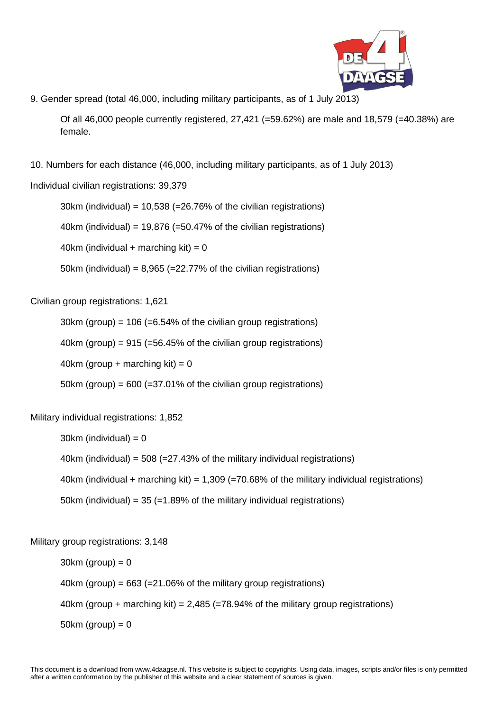

9. Gender spread (total 46,000, including military participants, as of 1 July 2013)

Of all 46,000 people currently registered, 27,421 (=59.62%) are male and 18,579 (=40.38%) are female.

10. Numbers for each distance (46,000, including military participants, as of 1 July 2013)

Individual civilian registrations: 39,379

30km (individual) =  $10,538$  (=26.76% of the civilian registrations)

40km (individual) =  $19,876$  (=50.47% of the civilian registrations)

40km (individual + marching kit) =  $0$ 

50km (individual) =  $8,965$  (=22.77% of the civilian registrations)

Civilian group registrations: 1,621

 $30km$  (group) = 106 (=6.54% of the civilian group registrations)

40km (group) =  $915$  (=56.45% of the civilian group registrations)

40km (group + marching kit) =  $0$ 

50km (group) =  $600$  (=37.01% of the civilian group registrations)

Military individual registrations: 1,852

 $30km$  (individual) = 0

40km (individual) = 508 (=27.43% of the military individual registrations)

40km (individual + marching kit) = 1,309 (=70.68% of the military individual registrations)

50km (individual) =  $35$  (=1.89% of the military individual registrations)

Military group registrations: 3,148

 $30km$  (group) = 0 40km (group) =  $663$  (= $21.06\%$  of the military group registrations) 40km (group + marching kit) = 2,485 (=78.94% of the military group registrations)

 $50km$  (group) = 0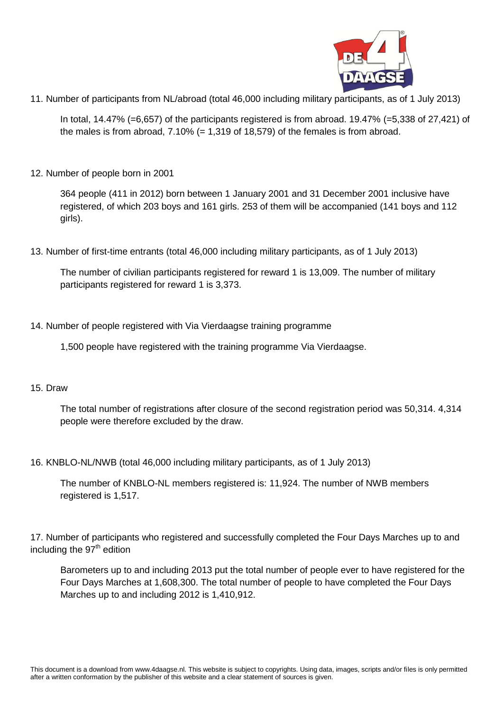

11. Number of participants from NL/abroad (total 46,000 including military participants, as of 1 July 2013)

In total, 14.47% (=6,657) of the participants registered is from abroad. 19.47% (=5,338 of 27,421) of the males is from abroad,  $7.10\%$  (= 1,319 of 18,579) of the females is from abroad.

12. Number of people born in 2001

364 people (411 in 2012) born between 1 January 2001 and 31 December 2001 inclusive have registered, of which 203 boys and 161 girls. 253 of them will be accompanied (141 boys and 112 girls).

13. Number of first-time entrants (total 46,000 including military participants, as of 1 July 2013)

The number of civilian participants registered for reward 1 is 13,009. The number of military participants registered for reward 1 is 3,373.

14. Number of people registered with Via Vierdaagse training programme

1,500 people have registered with the training programme Via Vierdaagse.

# 15. Draw

The total number of registrations after closure of the second registration period was 50,314. 4,314 people were therefore excluded by the draw.

16. KNBLO-NL/NWB (total 46,000 including military participants, as of 1 July 2013)

The number of KNBLO-NL members registered is: 11,924. The number of NWB members registered is 1,517.

17. Number of participants who registered and successfully completed the Four Days Marches up to and including the 97<sup>th</sup> edition

Barometers up to and including 2013 put the total number of people ever to have registered for the Four Days Marches at 1,608,300. The total number of people to have completed the Four Days Marches up to and including 2012 is 1,410,912.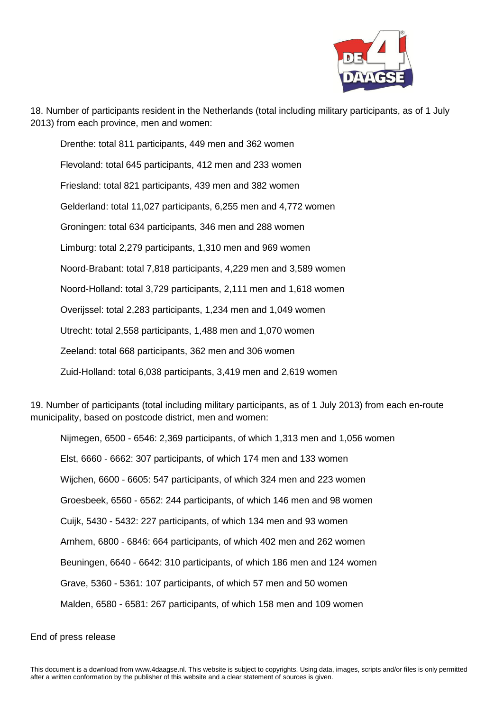

18. Number of participants resident in the Netherlands (total including military participants, as of 1 July 2013) from each province, men and women:

Drenthe: total 811 participants, 449 men and 362 women Flevoland: total 645 participants, 412 men and 233 women Friesland: total 821 participants, 439 men and 382 women Gelderland: total 11,027 participants, 6,255 men and 4,772 women Groningen: total 634 participants, 346 men and 288 women Limburg: total 2,279 participants, 1,310 men and 969 women Noord-Brabant: total 7,818 participants, 4,229 men and 3,589 women Noord-Holland: total 3,729 participants, 2,111 men and 1,618 women Overijssel: total 2,283 participants, 1,234 men and 1,049 women Utrecht: total 2,558 participants, 1,488 men and 1,070 women Zeeland: total 668 participants, 362 men and 306 women Zuid-Holland: total 6,038 participants, 3,419 men and 2,619 women

19. Number of participants (total including military participants, as of 1 July 2013) from each en-route municipality, based on postcode district, men and women:

Nijmegen, 6500 - 6546: 2,369 participants, of which 1,313 men and 1,056 women Elst, 6660 - 6662: 307 participants, of which 174 men and 133 women Wijchen, 6600 - 6605: 547 participants, of which 324 men and 223 women Groesbeek, 6560 - 6562: 244 participants, of which 146 men and 98 women Cuijk, 5430 - 5432: 227 participants, of which 134 men and 93 women Arnhem, 6800 - 6846: 664 participants, of which 402 men and 262 women Beuningen, 6640 - 6642: 310 participants, of which 186 men and 124 women Grave, 5360 - 5361: 107 participants, of which 57 men and 50 women Malden, 6580 - 6581: 267 participants, of which 158 men and 109 women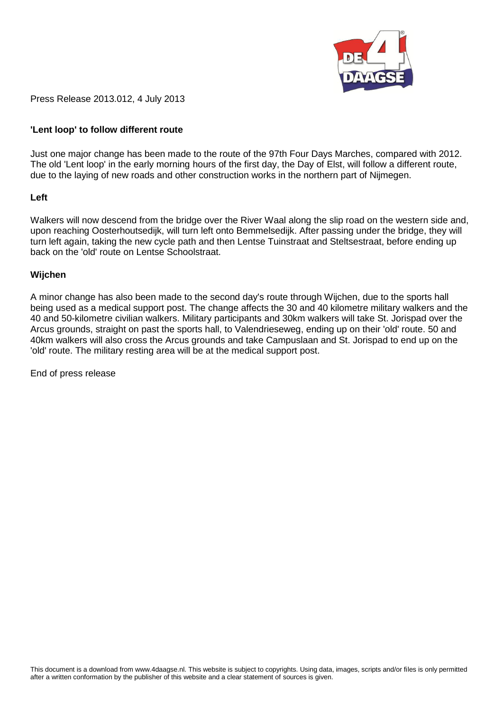

Press Release 2013.012, 4 July 2013

# **'Lent loop' to follow different route**

Just one major change has been made to the route of the 97th Four Days Marches, compared with 2012. The old 'Lent loop' in the early morning hours of the first day, the Day of Elst, will follow a different route, due to the laying of new roads and other construction works in the northern part of Nijmegen.

## **Left**

Walkers will now descend from the bridge over the River Waal along the slip road on the western side and, upon reaching Oosterhoutsedijk, will turn left onto Bemmelsedijk. After passing under the bridge, they will turn left again, taking the new cycle path and then Lentse Tuinstraat and Steltsestraat, before ending up back on the 'old' route on Lentse Schoolstraat.

## **Wijchen**

A minor change has also been made to the second day's route through Wijchen, due to the sports hall being used as a medical support post. The change affects the 30 and 40 kilometre military walkers and the 40 and 50-kilometre civilian walkers. Military participants and 30km walkers will take St. Jorispad over the Arcus grounds, straight on past the sports hall, to Valendrieseweg, ending up on their 'old' route. 50 and 40km walkers will also cross the Arcus grounds and take Campuslaan and St. Jorispad to end up on the 'old' route. The military resting area will be at the medical support post.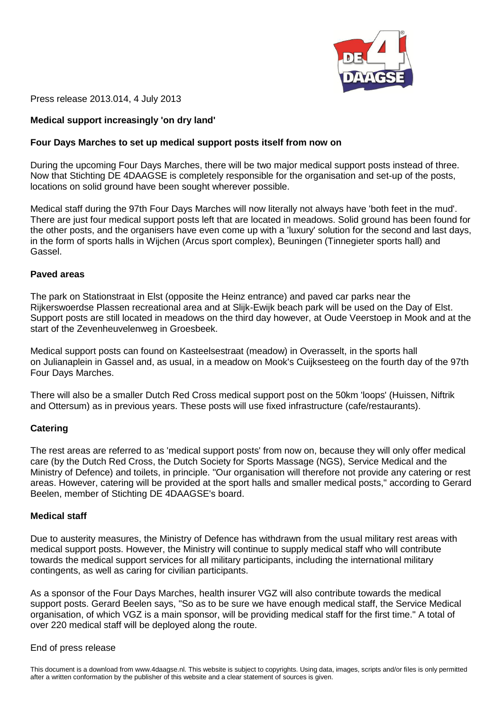

Press release 2013.014, 4 July 2013

# **Medical support increasingly 'on dry land'**

#### **Four Days Marches to set up medical support posts itself from now on**

During the upcoming Four Days Marches, there will be two major medical support posts instead of three. Now that Stichting DE 4DAAGSE is completely responsible for the organisation and set-up of the posts, locations on solid ground have been sought wherever possible.

Medical staff during the 97th Four Days Marches will now literally not always have 'both feet in the mud'. There are just four medical support posts left that are located in meadows. Solid ground has been found for the other posts, and the organisers have even come up with a 'luxury' solution for the second and last days, in the form of sports halls in Wijchen (Arcus sport complex), Beuningen (Tinnegieter sports hall) and Gassel.

#### **Paved areas**

The park on Stationstraat in Elst (opposite the Heinz entrance) and paved car parks near the Rijkerswoerdse Plassen recreational area and at Slijk-Ewijk beach park will be used on the Day of Elst. Support posts are still located in meadows on the third day however, at Oude Veerstoep in Mook and at the start of the Zevenheuvelenweg in Groesbeek.

Medical support posts can found on Kasteelsestraat (meadow) in Overasselt, in the sports hall on Julianaplein in Gassel and, as usual, in a meadow on Mook's Cuijksesteeg on the fourth day of the 97th Four Days Marches.

There will also be a smaller Dutch Red Cross medical support post on the 50km 'loops' (Huissen, Niftrik and Ottersum) as in previous years. These posts will use fixed infrastructure (cafe/restaurants).

#### **Catering**

The rest areas are referred to as 'medical support posts' from now on, because they will only offer medical care (by the Dutch Red Cross, the Dutch Society for Sports Massage (NGS), Service Medical and the Ministry of Defence) and toilets, in principle. "Our organisation will therefore not provide any catering or rest areas. However, catering will be provided at the sport halls and smaller medical posts," according to Gerard Beelen, member of Stichting DE 4DAAGSE's board.

## **Medical staff**

Due to austerity measures, the Ministry of Defence has withdrawn from the usual military rest areas with medical support posts. However, the Ministry will continue to supply medical staff who will contribute towards the medical support services for all military participants, including the international military contingents, as well as caring for civilian participants.

As a sponsor of the Four Days Marches, health insurer VGZ will also contribute towards the medical support posts. Gerard Beelen says, "So as to be sure we have enough medical staff, the Service Medical organisation, of which VGZ is a main sponsor, will be providing medical staff for the first time." A total of over 220 medical staff will be deployed along the route.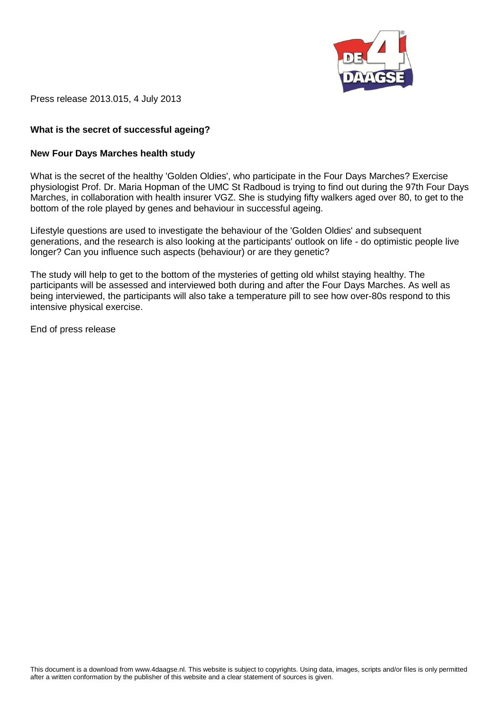

Press release 2013.015, 4 July 2013

# **What is the secret of successful ageing?**

#### **New Four Days Marches health study**

What is the secret of the healthy 'Golden Oldies', who participate in the Four Days Marches? Exercise physiologist Prof. Dr. Maria Hopman of the UMC St Radboud is trying to find out during the 97th Four Days Marches, in collaboration with health insurer VGZ. She is studying fifty walkers aged over 80, to get to the bottom of the role played by genes and behaviour in successful ageing.

Lifestyle questions are used to investigate the behaviour of the 'Golden Oldies' and subsequent generations, and the research is also looking at the participants' outlook on life - do optimistic people live longer? Can you influence such aspects (behaviour) or are they genetic?

The study will help to get to the bottom of the mysteries of getting old whilst staying healthy. The participants will be assessed and interviewed both during and after the Four Days Marches. As well as being interviewed, the participants will also take a temperature pill to see how over-80s respond to this intensive physical exercise.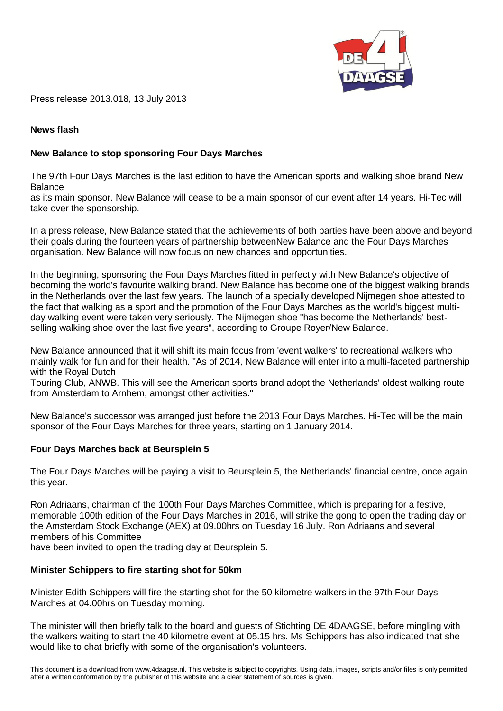

Press release 2013.018, 13 July 2013

## **News flash**

## **New Balance to stop sponsoring Four Days Marches**

The 97th Four Days Marches is the last edition to have the American sports and walking shoe brand New Balance

as its main sponsor. New Balance will cease to be a main sponsor of our event after 14 years. Hi-Tec will take over the sponsorship.

In a press release, New Balance stated that the achievements of both parties have been above and beyond their goals during the fourteen years of partnership betweenNew Balance and the Four Days Marches organisation. New Balance will now focus on new chances and opportunities.

In the beginning, sponsoring the Four Days Marches fitted in perfectly with New Balance's objective of becoming the world's favourite walking brand. New Balance has become one of the biggest walking brands in the Netherlands over the last few years. The launch of a specially developed Nijmegen shoe attested to the fact that walking as a sport and the promotion of the Four Days Marches as the world's biggest multiday walking event were taken very seriously. The Nijmegen shoe "has become the Netherlands' bestselling walking shoe over the last five years", according to Groupe Royer/New Balance.

New Balance announced that it will shift its main focus from 'event walkers' to recreational walkers who mainly walk for fun and for their health. "As of 2014, New Balance will enter into a multi-faceted partnership with the Royal Dutch

Touring Club, ANWB. This will see the American sports brand adopt the Netherlands' oldest walking route from Amsterdam to Arnhem, amongst other activities."

New Balance's successor was arranged just before the 2013 Four Days Marches. Hi-Tec will be the main sponsor of the Four Days Marches for three years, starting on 1 January 2014.

#### **Four Days Marches back at Beursplein 5**

The Four Days Marches will be paying a visit to Beursplein 5, the Netherlands' financial centre, once again this year.

Ron Adriaans, chairman of the 100th Four Days Marches Committee, which is preparing for a festive, memorable 100th edition of the Four Days Marches in 2016, will strike the gong to open the trading day on the Amsterdam Stock Exchange (AEX) at 09.00hrs on Tuesday 16 July. Ron Adriaans and several members of his Committee

have been invited to open the trading day at Beursplein 5.

#### **Minister Schippers to fire starting shot for 50km**

Minister Edith Schippers will fire the starting shot for the 50 kilometre walkers in the 97th Four Days Marches at 04.00hrs on Tuesday morning.

The minister will then briefly talk to the board and guests of Stichting DE 4DAAGSE, before mingling with the walkers waiting to start the 40 kilometre event at 05.15 hrs. Ms Schippers has also indicated that she would like to chat briefly with some of the organisation's volunteers.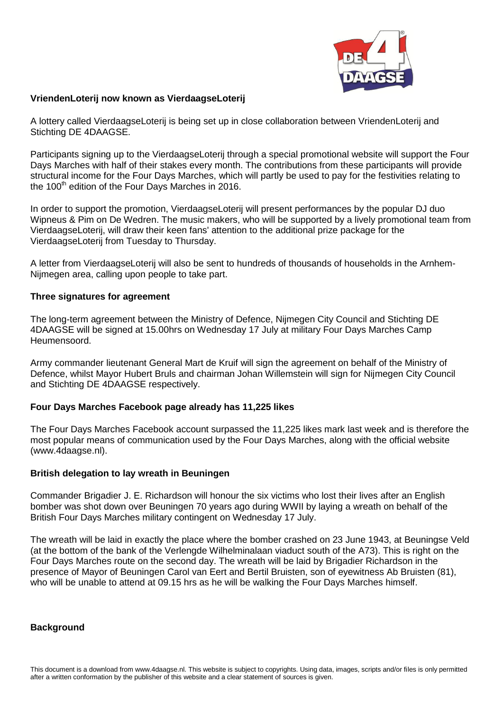

# **VriendenLoterij now known as VierdaagseLoterij**

A lottery called VierdaagseLoterij is being set up in close collaboration between VriendenLoterij and Stichting DE 4DAAGSE.

Participants signing up to the VierdaagseLoterij through a special promotional website will support the Four Days Marches with half of their stakes every month. The contributions from these participants will provide structural income for the Four Days Marches, which will partly be used to pay for the festivities relating to the  $100<sup>th</sup>$  edition of the Four Days Marches in 2016.

In order to support the promotion, VierdaagseLoterij will present performances by the popular DJ duo Wipneus & Pim on De Wedren. The music makers, who will be supported by a lively promotional team from VierdaagseLoterij, will draw their keen fans' attention to the additional prize package for the VierdaagseLoterij from Tuesday to Thursday.

A letter from VierdaagseLoterij will also be sent to hundreds of thousands of households in the Arnhem-Nijmegen area, calling upon people to take part.

# **Three signatures for agreement**

The long-term agreement between the Ministry of Defence, Nijmegen City Council and Stichting DE 4DAAGSE will be signed at 15.00hrs on Wednesday 17 July at military Four Days Marches Camp Heumensoord.

Army commander lieutenant General Mart de Kruif will sign the agreement on behalf of the Ministry of Defence, whilst Mayor Hubert Bruls and chairman Johan Willemstein will sign for Nijmegen City Council and Stichting DE 4DAAGSE respectively.

# **Four Days Marches Facebook page already has 11,225 likes**

The Four Days Marches Facebook account surpassed the 11,225 likes mark last week and is therefore the most popular means of communication used by the Four Days Marches, along with the official website (www.4daagse.nl).

# **British delegation to lay wreath in Beuningen**

Commander Brigadier J. E. Richardson will honour the six victims who lost their lives after an English bomber was shot down over Beuningen 70 years ago during WWII by laying a wreath on behalf of the British Four Days Marches military contingent on Wednesday 17 July.

The wreath will be laid in exactly the place where the bomber crashed on 23 June 1943, at Beuningse Veld (at the bottom of the bank of the Verlengde Wilhelminalaan viaduct south of the A73). This is right on the Four Days Marches route on the second day. The wreath will be laid by Brigadier Richardson in the presence of Mayor of Beuningen Carol van Eert and Bertil Bruisten, son of eyewitness Ab Bruisten (81), who will be unable to attend at 09.15 hrs as he will be walking the Four Days Marches himself.

#### **Background**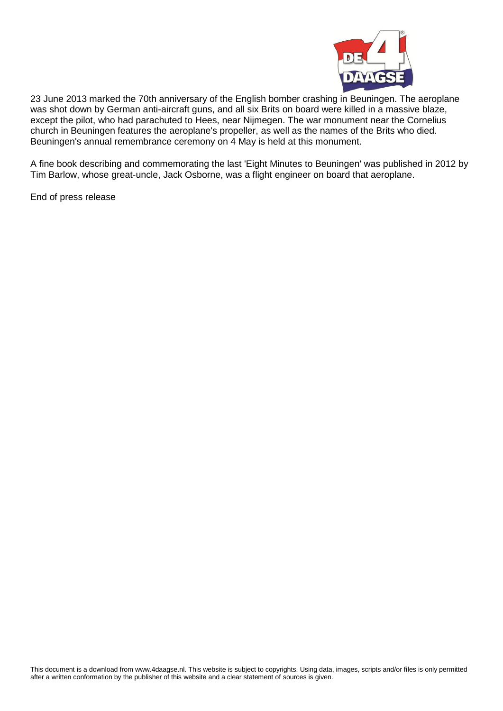

23 June 2013 marked the 70th anniversary of the English bomber crashing in Beuningen. The aeroplane was shot down by German anti-aircraft guns, and all six Brits on board were killed in a massive blaze, except the pilot, who had parachuted to Hees, near Nijmegen. The war monument near the Cornelius church in Beuningen features the aeroplane's propeller, as well as the names of the Brits who died. Beuningen's annual remembrance ceremony on 4 May is held at this monument.

A fine book describing and commemorating the last 'Eight Minutes to Beuningen' was published in 2012 by Tim Barlow, whose great-uncle, Jack Osborne, was a flight engineer on board that aeroplane.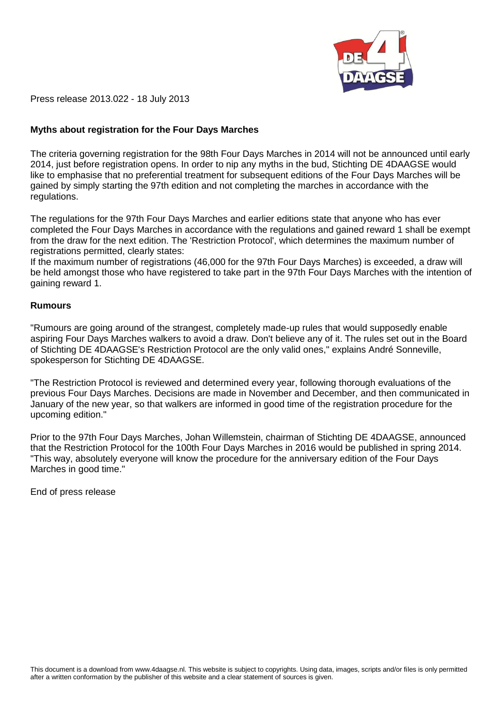

Press release 2013.022 - 18 July 2013

# **Myths about registration for the Four Days Marches**

The criteria governing registration for the 98th Four Days Marches in 2014 will not be announced until early 2014, just before registration opens. In order to nip any myths in the bud, Stichting DE 4DAAGSE would like to emphasise that no preferential treatment for subsequent editions of the Four Days Marches will be gained by simply starting the 97th edition and not completing the marches in accordance with the regulations.

The regulations for the 97th Four Days Marches and earlier editions state that anyone who has ever completed the Four Days Marches in accordance with the regulations and gained reward 1 shall be exempt from the draw for the next edition. The 'Restriction Protocol', which determines the maximum number of registrations permitted, clearly states:

If the maximum number of registrations (46,000 for the 97th Four Days Marches) is exceeded, a draw will be held amongst those who have registered to take part in the 97th Four Days Marches with the intention of gaining reward 1.

#### **Rumours**

"Rumours are going around of the strangest, completely made-up rules that would supposedly enable aspiring Four Days Marches walkers to avoid a draw. Don't believe any of it. The rules set out in the Board of Stichting DE 4DAAGSE's Restriction Protocol are the only valid ones," explains André Sonneville, spokesperson for Stichting DE 4DAAGSE.

"The Restriction Protocol is reviewed and determined every year, following thorough evaluations of the previous Four Days Marches. Decisions are made in November and December, and then communicated in January of the new year, so that walkers are informed in good time of the registration procedure for the upcoming edition."

Prior to the 97th Four Days Marches, Johan Willemstein, chairman of Stichting DE 4DAAGSE, announced that the Restriction Protocol for the 100th Four Days Marches in 2016 would be published in spring 2014. "This way, absolutely everyone will know the procedure for the anniversary edition of the Four Days Marches in good time."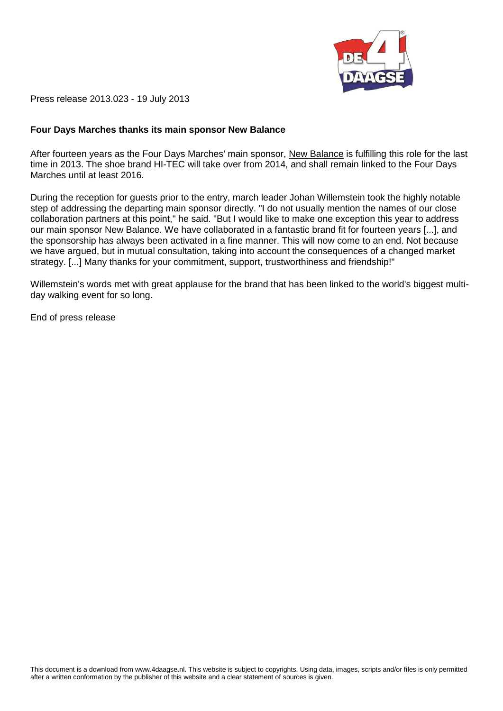

Press release 2013.023 - 19 July 2013

## **Four Days Marches thanks its main sponsor New Balance**

After fourteen years as the Four Days Marches' main sponsor, [New Balance](http://www.newbalance.nl/) is fulfilling this role for the last time in 2013. The shoe brand HI-TEC will take over from 2014, and shall remain linked to the Four Days Marches until at least 2016.

During the reception for guests prior to the entry, march leader Johan Willemstein took the highly notable step of addressing the departing main sponsor directly. "I do not usually mention the names of our close collaboration partners at this point," he said. "But I would like to make one exception this year to address our main sponsor New Balance. We have collaborated in a fantastic brand fit for fourteen years [...], and the sponsorship has always been activated in a fine manner. This will now come to an end. Not because we have argued, but in mutual consultation, taking into account the consequences of a changed market strategy. [...] Many thanks for your commitment, support, trustworthiness and friendship!"

Willemstein's words met with great applause for the brand that has been linked to the world's biggest multiday walking event for so long.